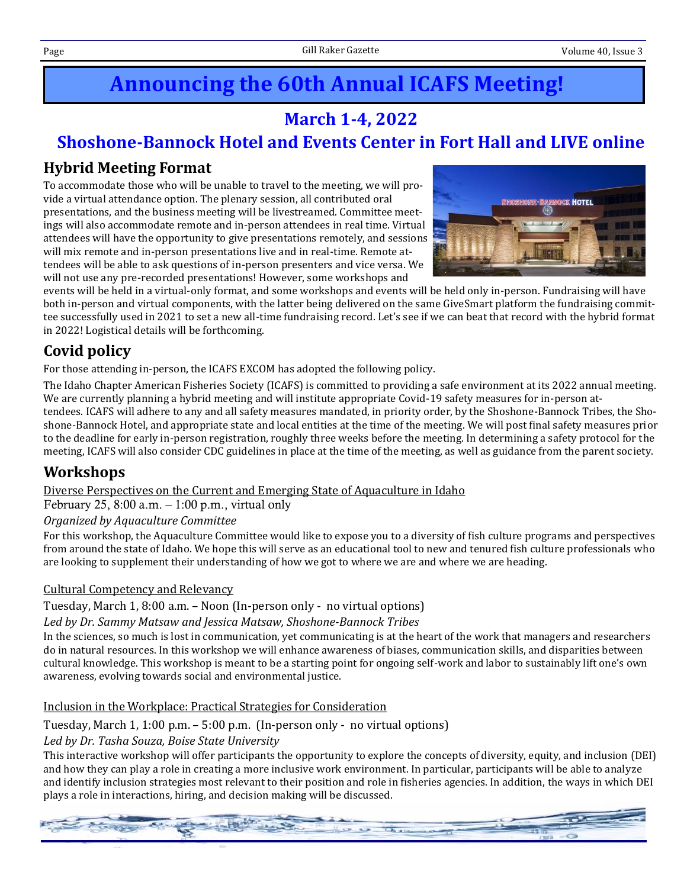# **Announcing the 60th Annual ICAFS Meeting!**

## **March 1-4, 2022**

## **Shoshone-Bannock Hotel and Events Center in Fort Hall and LIVE online**

## **Hybrid Meeting Format**

To accommodate those who will be unable to travel to the meeting, we will provide a virtual attendance option. The plenary session, all contributed oral presentations, and the business meeting will be livestreamed. Committee meetings will also accommodate remote and in-person attendees in real time. Virtual attendees will have the opportunity to give presentations remotely, and sessions will mix remote and in-person presentations live and in real-time. Remote attendees will be able to ask questions of in-person presenters and vice versa. We will not use any pre-recorded presentations! However, some workshops and



events will be held in a virtual-only format, and some workshops and events will be held only in-person. Fundraising will have both in-person and virtual components, with the latter being delivered on the same GiveSmart platform the fundraising committee successfully used in 2021 to set a new all-time fundraising record. Let's see if we can beat that record with the hybrid format in 2022! Logistical details will be forthcoming.

## **Covid policy**

For those attending in-person, the ICAFS EXCOM has adopted the following policy.

The Idaho Chapter American Fisheries Society (ICAFS) is committed to providing a safe environment at its 2022 annual meeting. We are currently planning a hybrid meeting and will institute appropriate Covid-19 safety measures for in-person at-

tendees. ICAFS will adhere to any and all safety measures mandated, in priority order, by the Shoshone-Bannock Tribes, the Shoshone-Bannock Hotel, and appropriate state and local entities at the time of the meeting. We will post final safety measures prior to the deadline for early in-person registration, roughly three weeks before the meeting. In determining a safety protocol for the meeting, ICAFS will also consider CDC guidelines in place at the time of the meeting, as well as guidance from the parent society.

## **Workshops**

Diverse Perspectives on the Current and Emerging State of Aquaculture in Idaho

February 25, 8:00 a.m.  $-1:00$  p.m., virtual only

*Organized by Aquaculture Committee*

For this workshop, the Aquaculture Committee would like to expose you to a diversity of fish culture programs and perspectives from around the state of Idaho. We hope this will serve as an educational tool to new and tenured fish culture professionals who are looking to supplement their understanding of how we got to where we are and where we are heading.

#### Cultural Competency and Relevancy

Tuesday, March 1, 8:00 a.m. – Noon (In-person only - no virtual options)

#### *Led by Dr. Sammy Matsaw and Jessica Matsaw, Shoshone-Bannock Tribes*

In the sciences, so much is lost in communication, yet communicating is at the heart of the work that managers and researchers do in natural resources. In this workshop we will enhance awareness of biases, communication skills, and disparities between cultural knowledge. This workshop is meant to be a starting point for ongoing self-work and labor to sustainably lift one's own awareness, evolving towards social and environmental justice.

Inclusion in the Workplace: Practical Strategies for Consideration

Tuesday, March 1, 1:00 p.m. – 5:00 p.m. (In-person only - no virtual options)

#### *Led by Dr. Tasha Souza, Boise State University*

This interactive workshop will offer participants the opportunity to explore the concepts of diversity, equity, and inclusion (DEI) and how they can play a role in creating a more inclusive work environment. In particular, participants will be able to analyze and identify inclusion strategies most relevant to their position and role in fisheries agencies. In addition, the ways in which DEI plays a role in interactions, hiring, and decision making will be discussed.